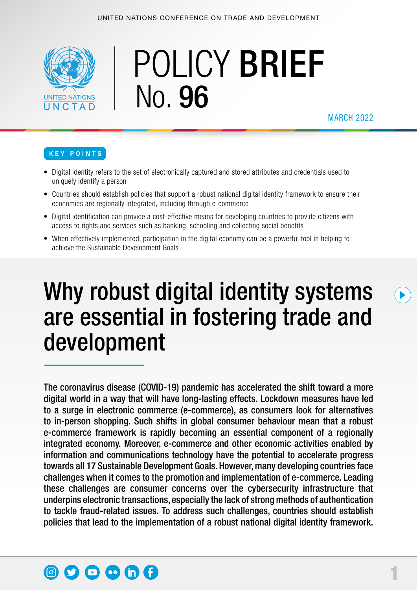

# POLICY BRIEF No. 96

MARCH 2022

#### KEY POINTS

- Digital identity refers to the set of electronically captured and stored attributes and credentials used to uniquely identify a person
- Countries should establish policies that support a robust national digital identity framework to ensure their economies are regionally integrated, including through e-commerce
- Digital identification can provide a cost-effective means for developing countries to provide citizens with access to rights and services such as banking, schooling and collecting social benefits
- When effectively implemented, participation in the digital economy can be a powerful tool in helping to achieve the Sustainable Development Goals

## Why robust digital identity systems are essential in fostering trade and development

The coronavirus disease (COVID-19) pandemic has accelerated the shift toward a more digital world in a way that will have long-lasting effects. Lockdown measures have led to a surge in electronic commerce (e-commerce), as consumers look for alternatives to in-person shopping. Such shifts in global consumer behaviour mean that a robust e-commerce framework is rapidly becoming an essential component of a regionally integrated economy. Moreover, e-commerce and other economic activities enabled by information and communications technology have the potential to accelerate progress towards all 17 Sustainable Development Goals.However, many developing countries face challenges when it comes to the promotion and implementation of e-commerce. Leading these challenges are consumer concerns over the cybersecurity infrastructure that underpins electronic transactions, especially the lack of strong methods of authentication to tackle fraud-related issues. To address such challenges, countries should establish policies that lead to the implementation of a robust national digital identity framework.

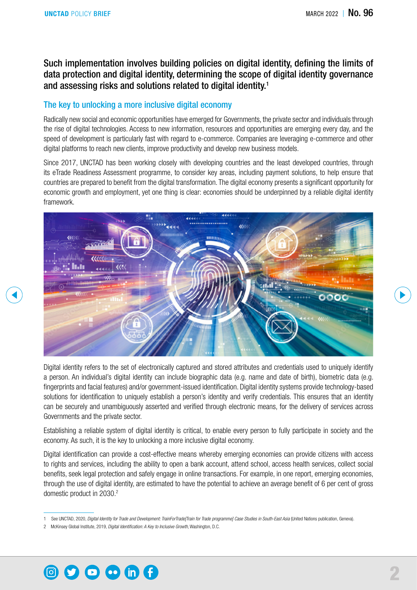Such implementation involves building policies on digital identity, defining the limits of data protection and digital identity, determining the scope of digital identity governance and assessing risks and solutions related to digital identity.1

#### The key to unlocking a more inclusive digital economy

Radically new social and economic opportunities have emerged for Governments, the private sector and individuals through the rise of digital technologies. Access to new information, resources and opportunities are emerging every day, and the speed of development is particularly fast with regard to e-commerce. Companies are leveraging e-commerce and other digital platforms to reach new clients, improve productivity and develop new business models.

Since 2017, UNCTAD has been working closely with developing countries and the least developed countries, through its eTrade Readiness Assessment programme, to consider key areas, including payment solutions, to help ensure that countries are prepared to benefit from the digital transformation. The digital economy presents a significant opportunity for economic growth and employment, yet one thing is clear: economies should be underpinned by a reliable digital identity framework.



Digital identity refers to the set of electronically captured and stored attributes and credentials used to uniquely identify a person. An individual's digital identity can include biographic data (e.g. name and date of birth), biometric data (e.g. fingerprints and facial features) and/or government-issued identification. Digital identity systems provide technology-based solutions for identification to uniquely establish a person's identity and verify credentials. This ensures that an identity can be securely and unambiguously asserted and verified through electronic means, for the delivery of services across Governments and the private sector.

Establishing a reliable system of digital identity is critical, to enable every person to fully participate in society and the economy. As such, it is the key to unlocking a more inclusive digital economy.

Digital identification can provide a cost-effective means whereby emerging economies can provide citizens with access to rights and services, including the ability to open a bank account, attend school, access health services, collect social benefits, seek legal protection and safely engage in online transactions. For example, in one report, emerging economies, through the use of digital identity, are estimated to have the potential to achieve an average benefit of 6 per cent of gross domestic product in 2030.<sup>2</sup>



<sup>1</sup> See UNCTAD, 2020, *Digital Identity for Trade and Development: TrainForTrade[Train for Trade programme] Case Studies in South-East Asia* (United Nations publication, Geneva).

<sup>2</sup> McKinsey Global Institute, 2019, *Digital Identification: A Key to Inclusive Growth*, Washington, D.C.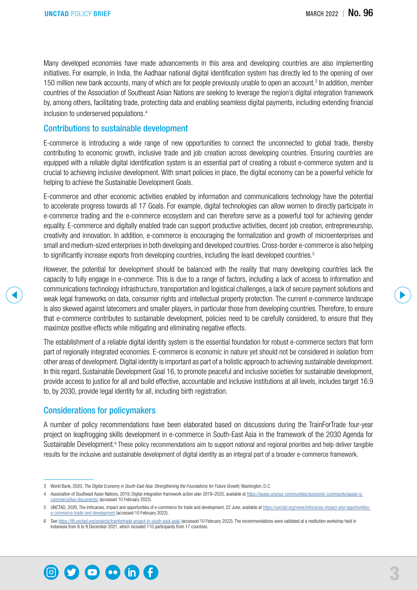Many developed economies have made advancements in this area and developing countries are also implementing initiatives. For example, in India, the Aadhaar national digital identification system has directly led to the opening of over 150 million new bank accounts, many of which are for people previously unable to open an account.<sup>3</sup> In addition, member countries of the Association of Southeast Asian Nations are seeking to leverage the region's digital integration framework by, among others, facilitating trade, protecting data and enabling seamless digital payments, including extending financial inclusion to underserved populations.4

#### Contributions to sustainable development

E-commerce is introducing a wide range of new opportunities to connect the unconnected to global trade, thereby contributing to economic growth, inclusive trade and job creation across developing countries. Ensuring countries are equipped with a reliable digital identification system is an essential part of creating a robust e-commerce system and is crucial to achieving inclusive development. With smart policies in place, the digital economy can be a powerful vehicle for helping to achieve the Sustainable Development Goals.

E-commerce and other economic activities enabled by information and communications technology have the potential to accelerate progress towards all 17 Goals. For example, digital technologies can allow women to directly participate in e-commerce trading and the e-commerce ecosystem and can therefore serve as a powerful tool for achieving gender equality. E-commerce and digitally enabled trade can support productive activities, decent job creation, entrepreneurship, creativity and innovation. In addition, e-commerce is encouraging the formalization and growth of microenterprises and small and medium-sized enterprises in both developing and developed countries. Cross-border e-commerce is also helping to significantly increase exports from developing countries, including the least developed countries.<sup>5</sup>

However, the potential for development should be balanced with the reality that many developing countries lack the capacity to fully engage in e-commerce. This is due to a range of factors, including a lack of access to information and communications technology infrastructure, transportation and logistical challenges, a lack of secure payment solutions and weak legal frameworks on data, consumer rights and intellectual property protection. The current e-commerce landscape is also skewed against latecomers and smaller players, in particular those from developing countries. Therefore, to ensure that e-commerce contributes to sustainable development, policies need to be carefully considered, to ensure that they maximize positive effects while mitigating and eliminating negative effects.

The establishment of a reliable digital identity system is the essential foundation for robust e-commerce sectors that form part of regionally integrated economies. E-commerce is economic in nature yet should not be considered in isolation from other areas of development. Digital identity is important as part of a holistic approach to achieving sustainable development. In this regard, Sustainable Development Goal 16, to promote peaceful and inclusive societies for sustainable development, provide access to justice for all and build effective, accountable and inclusive institutions at all levels, includes target 16.9 to, by 2030, provide legal identity for all, including birth registration.

#### Considerations for policymakers

A number of policy recommendations have been elaborated based on discussions during the TrainForTrade four-year project on leapfrogging skills development in e-commerce in South-East Asia in the framework of the 2030 Agenda for Sustainable Development.<sup>6</sup> These policy recommendations aim to support national and regional priorities and help deliver tangible results for the inclusive and sustainable development of digital identity as an integral part of a broader e-commerce framework.



<sup>3</sup> World Bank, 2020, *The Digital Economy in South-East Asia: Strengthening the Foundations for Future Growth*, Washington, D.C.

<sup>4</sup> Association of Southeast Asian Nations, 2019, Digital integration framework action plan 2019-2025, available at [https://asean.org/our-communities/economic-community/asean-e](https://asean.org/our-communities/economic-community/asean-e-commerce/key-documents/)[commerce/key-documents/](https://asean.org/our-communities/economic-community/asean-e-commerce/key-documents/) (accessed 10 February 2022).

<sup>5</sup> UNCTAD, 2020, The intricacies, impact and opportunities of e-commerce for trade and development, 22 June, available at [https://unctad.org/news/intricacies-impact-and-opportunities](https://unctad.org/news/intricacies-impact-and-opportunities-e-commerce-trade-and-development)[e-commerce-trade-and-development](https://unctad.org/news/intricacies-impact-and-opportunities-e-commerce-trade-and-development) (accessed 10 February 2022).

<sup>6</sup> See <https://tft.unctad.org/projects/trainfortrade-project-in-south-east-asia/> (accessed 10 February 2022). The recommendations were validated at a restitution workshop held in Indonesia from 6 to 9 December 2021, which included 110 participants from 17 countries.